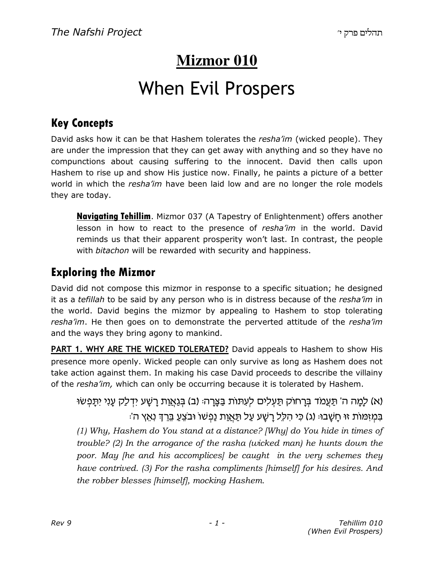# **Mizmor 010**

# When Evil Prospers

### Key Concepts

David asks how it can be that Hashem tolerates the resha'im (wicked people). They are under the impression that they can get away with anything and so they have no compunctions about causing suffering to the innocent. David then calls upon Hashem to rise up and show His justice now. Finally, he paints a picture of a better world in which the *resha'im* have been laid low and are no longer the role models they are today.

Navigating Tehillim. Mizmor 037 (A Tapestry of Enlightenment) offers another lesson in how to react to the presence of resha'im in the world. David reminds us that their apparent prosperity won't last. In contrast, the people with *bitachon* will be rewarded with security and happiness.

#### Exploring the Mizmor

David did not compose this mizmor in response to a specific situation; he designed it as a tefillah to be said by any person who is in distress because of the resha'im in the world. David begins the mizmor by appealing to Hashem to stop tolerating resha'im. He then goes on to demonstrate the perverted attitude of the resha'im and the ways they bring agony to mankind.

**PART 1. WHY ARE THE WICKED TOLERATED?** David appeals to Hashem to show His presence more openly. Wicked people can only survive as long as Hashem does not take action against them. In making his case David proceeds to describe the villainy of the resha'im, which can only be occurring because it is tolerated by Hashem.

(א) לַמֲה ה' תַעֲמֹד בְּרַחוֹק תַּעְלִים לִעְתּוֹת בַּצֵּרָהּ (ב) בְּגֵאֲוַת רַשָּׁע יִדְלַק עַנִי יִתַּפְשׁוּ בְּמִזְּמּוֹת זוּ חַשַּׁבוּּ (ג) כִּי הָלֶל רַשַּׁע עַל תַּאֲוַת נַפְשׁוֹ וּבֹצֵעַ בֵּרֶךְ נְאֵץ ה'ּ (1) Why, Hashem do You stand at a distance? [Why] do You hide in times of trouble? (2) In the arrogance of the rasha (wicked man) he hunts down the poor. May [he and his accomplices] be caught in the very schemes they have contrived. (3) For the rasha compliments [himself] for his desires. And the robber blesses [himself], mocking Hashem.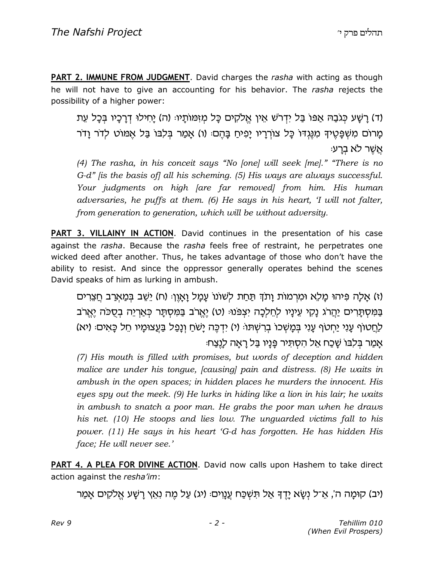**PART 2. IMMUNE FROM JUDGMENT.** David charges the rasha with acting as though he will not have to give an accounting for his behavior. The rasha rejects the possibility of a higher power:

(ד) רַשַּׁע כְּגֹבָהּ אֲפּוֹ בַּל יִדְרֹשׁ אֵין אֱלֹקִים כַּל מִזְמּוֹתֵיוּ (ה) יַחְילוּ דְרַכֵּיו בְּכַל עֵת ּמַרוֹם מִשְׁפַּטֵיךָ מִנֵּגְדּו כָּל צוֹרְרָיו יַפִיחַ בָּהֵם. (ו) אַמַר בִּלְבּו בַּל אֵמּוֹט לִדֹר וַדֹר ּאַשׁר לֹא בְרַע

(4) The rasha, in his conceit says "No [one] will seek [me]." "There is no G-d" *fis the basis off all his scheming.* (5) His ways are always successful. Your judgments on high [are far removed] from him. His human adversaries, he puffs at them. (6) He says in his heart, 'I will not falter, from generation to generation, which will be without adversity.

**PART 3. VILLAINY IN ACTION**. David continues in the presentation of his case against the rasha. Because the rasha feels free of restraint, he perpetrates one wicked deed after another. Thus, he takes advantage of those who don't have the ability to resist. And since the oppressor generally operates behind the scenes David speaks of him as lurking in ambush.

(ז) אֲלָה פִּיהוּ מַלָא וּמֵרְמוֹת וַתֹּךְ תַּחַת לְשׁוֹנוֹ עַמַל וַאֲוֹן: (ח) יָשֶׁב בְּמֵאֲרֶב חֲצֶרִים בַּמְסֶתֲרִים יַהֲרֹג נַקָי עֵינַיו לְחֲלִכָּה יַצְפִּנוּּ (ט) יַאֲרֹב בַּמִּסֶתֵּר כַּאֲרִיהָ בַסְכֹּה יָאֲרֹב לַחֲטוֹף עֶנִי יַחְטֹף עָנִי בִּמֲשָׁכוֹ בִרְשִׁתּוּ (י) יִדְכֵּה יָשֹׁחַ וְנָפַל בַּעֲצוּמַיו חֵל כָּאִים: (יא) אמר בלבו שכח אל הסתיר פניו בל ראה לנצח:

(7) His mouth is filled with promises, but words of deception and hidden malice are under his tongue, [causing] pain and distress. (8) He waits in ambush in the open spaces; in hidden places he murders the innocent. His eyes spy out the meek. (9) He lurks in hiding like a lion in his lair; he waits in ambush to snatch a poor man. He grabs the poor man when he draws his net. (10) He stoops and lies low. The unguarded victims fall to his power. (11) He says in his heart 'G-d has forgotten. He has hidden His face; He will never see.'

PART 4. A PLEA FOR DIVINE ACTION. David now calls upon Hashem to take direct action against the resha'im:

(יב) קוּמַה ה', אֵ־ל נְשֶׂא יַדֵדְ אַל תִּשְׁכֵּח עֲנַוִים: (יג) עַל מֶה נְאֵץ רַשַּׁע אֱלֹקָים אֲמֵר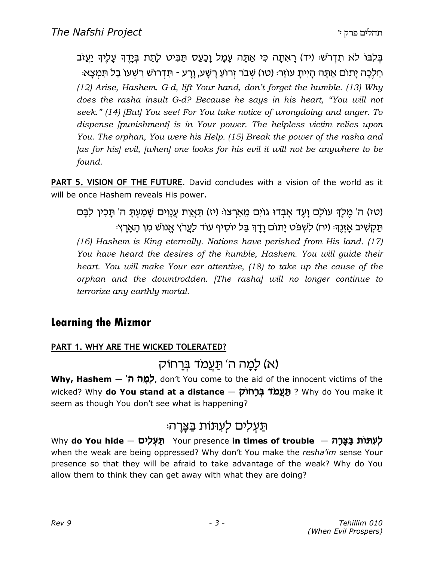בְּלְבּוֹ לֹא תִדְרֹשׁ: (יד) רַאְתַה כִּי אֲתַּה עָמַל וַכֲעָס תַּבְּיט לַתֵת בְּיַדֶךְ עֲלֶיךָ יַעֲזֹב ּהֵלְכָּה יַתוֹם אֲתֵּה הַיִּיתַ עוֹזֵר: (טו) שָׁבֹר זְרוֹעַ רַשָּׁע, וַרַע - תִּדְרוֹשׁ רִשְׁעוֹ בַל תִּמְצָא (12) Arise, Hashem. G-d, lift Your hand, don't forget the humble. (13) Why does the rasha insult G-d? Because he says in his heart, "You will not seek." (14) [But] You see! For You take notice of wrongdoing and anger. To dispense [punishment] is in Your power. The helpless victim relies upon You. The orphan, You were his Help. (15) Break the power of the rasha and [as for his] evil, [when] one looks for his evil it will not be anywhere to be found.

PART 5. VISION OF THE FUTURE. David concludes with a vision of the world as it will be once Hashem reveals His power.

(טז) ה' מֶלֶךְ עוֹלָם וַעֶד אַבְדוּ גוֹיִם מֵאֲרְצוּ (יז) תַּאֲוַת עֲנַוִים שַׁמַעְתַּ ה' תַּכְין לִבַּם ּתַּקִשִּׁיב אֲזֶנֵךָּ׃ (יח) לְשָׁפֹּט יַתוֹם וַדְַךְּ בַּל יוֹסִיף עוֹד לַעֲרֹץ אֱנוֹשׁ מְן הַאֲרֵץ. (16) Hashem is King eternally. Nations have perished from His land. (17) You have heard the desires of the humble, Hashem. You will guide their heart. You will make Your ear attentive, (18) to take up the cause of the orphan and the downtrodden. [The rasha] will no longer continue to terrorize any earthly mortal.

#### Learning the Mizmor

#### PART 1. WHY ARE THE WICKED TOLERATED?

#### (א) לָמָה ה' תַּעֲמֹד בִּרְחוֹק

Why, Hashem  $-$ 'לְמַה ה $\frac{1}{2}$ , don't You come to the aid of the innocent victims of the wicked? Why **do You stand at a distance – תַּעֲמֹד בִּרָחוֹק ?** Why do You make it seem as though You don't see what is happening?

# תַעָלים לעתות בַּצ<u>ֵ</u>רה:

Why do You hide – תַּעְלִים Your presence in times of trouble – הַעְתּוֹת בַצּרַה when the weak are being oppressed? Why don't You make the resha'im sense Your presence so that they will be afraid to take advantage of the weak? Why do You allow them to think they can get away with what they are doing?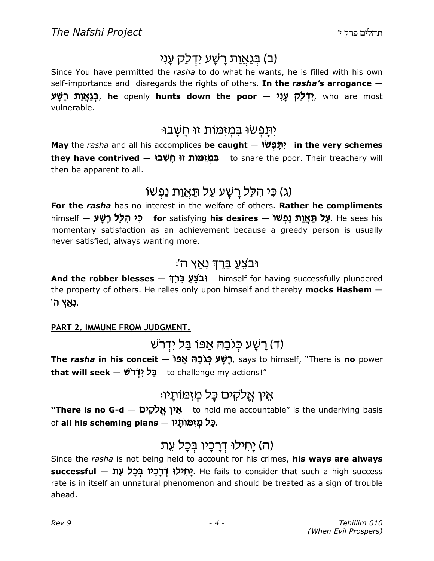# וב) ב<u>גאו</u>ת רשע ידלק עני)

Since You have permitted the rasha to do what he wants, he is filled with his own self-importance and disregards the rights of others. In the rasha's arrogance  $-$ פְּגָאֲוֹת רַשַּׁע, he openly hunts down the poor – אֲנָאֲוֹת, who are most vulnerable.

#### יִתַּפְשׂוּ בִּמְזְמוֹת זוּ חַשָּׁבוּ:

May the rasha and all his accomplices be caught – יְתַּפְשׁוּ in the very schemes they have contrived – בְּמָזְמּוֹת זוּ חַשֲׁבוּ then be apparent to all.

### (ג) כִּי הִלֵּל רַשַּׁע עַל תַּ<u>אֲו</u>ַת נַפְשׁוֹ

For the rasha has no interest in the welfare of others. Rather he compliments himself – פֵּי הָלֶל רַשַּׁעַ momentary satisfaction as an achievement because a greedy person is usually never satisfied, always wanting more.

#### ֿובצֵעַ בֵּרֵדְ נאֵץ ה'

And the robber blesses – וּבֹצֵעַ בֵּרַךְ himself for having successfully plundered the property of others. He relies only upon himself and thereby **mocks Hashem**  $-$ **'ה לאָ c** 

#### PART 2. IMMUNE FROM JUDGMENT.

### (ד) רַשֲע כִּגְבַה אַפּוֹ בַּל יִדְרֹשׁ

The rasha in his conceit  $-$  פְשַׁע כְּגֹבָהּ אֲפּוֹ $f$ , says to himself, "There is no power that will seek – בָּל יִדְרֹשׁ to challenge my actions!"

# אֵין אֵלקים כָּל מִזמּוֹתָיוּ:

"There is no G-d – אֵין אֱלֹקָים to hold me accountable" is the underlying basis of all his scheming plans – פֵל מַזְמַוֹתֵנוּ.

# (ה) יָחִילוּ דְרָכָיו בִּכַל עִת

Since the rasha is not being held to account for his crimes, his ways are always successful – יַחִילוּ דְּרַכֵּיוּ בִּכַל עֵתּ rate is in itself an unnatural phenomenon and should be treated as a sign of trouble ahead.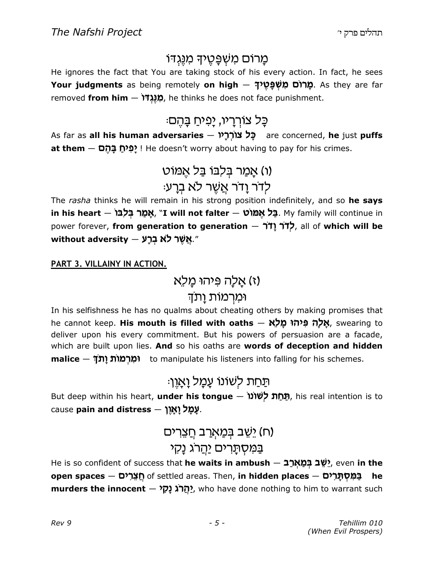### מַרוֹם מִטַּפְטֵידְ מִנֵּגְדוֹ

He ignores the fact that You are taking stock of his every action. In fact, he sees Your judgments as being remotely on high  $-$  מְרוֹם מֵשְׁפַּטֵיךָ As they are far removed from him  $-$  מְנֵגְדֹוֹ $\alpha$ , he thinks he does not face punishment.

# ּכָּל צוֹרְרָיו, יָפִיחַ בָּהֶם:

As far as all his human adversaries – בָּל צוֹרְרָיוּ are concerned, he just puffs at them  $-$  פְּיחַ בְּהֶם  $\cdot$ ! He doesn't worry about having to pay for his crimes.

# (ו) אַמַר בְּלְבּוֹ בַּל אֵמּוֹט ּלדר וַדר אֲשֶׁר לֹא בְרַע

The rasha thinks he will remain in his strong position indefinitely, and so he says in his heart – אַמַּר בִּלְבּוֹ. Ny family will continue in power forever, from generation to generation  $-$  לֹדֹר  $\zeta$ , all of which will be without adversity – אֲשֶׁר לֹא בְרָע.

#### PART 3. VILLAINY IN ACTION.

(ז) אַלַה פּיהוּ מַלֵא

#### וּמרמוֹת ותֹד

In his selfishness he has no qualms about cheating others by making promises that he cannot keep. **His mouth is filled with oaths – אֲלָה פִּיהוּ מַלָא**, swearing to deliver upon his every commitment. But his powers of persuasion are a facade, which are built upon lies. And so his oaths are words of deception and hidden malice – וּמְרָמוֹת וַתֹּדְ to manipulate his listeners into falling for his schemes.

# ּתַּחַת לְשׁוֹנוֹ עָמָל וַאֲוֶן:

But deep within his heart, under his tongue — תֲחַת לְשׁוֹנוֹ, his real intention is to cause **pain and distress** — עֲמַל וַאֲוֹן.

# <u>(ח) יֵשֶׁב בְּמַאָרַב חַצְרִים</u> במסתרים יהרג נקי

He is so confident of success that **he waits in ambush – יָשֶׁב בְּמֲאִרָב** even **in the** open spaces - מַלְתֹרֵים of settled areas. Then, in hidden places - בַּמְסְתַּרִים  $m$ urders the innocent  $-$  הֲלֹג נַקָל, who have done nothing to him to warrant such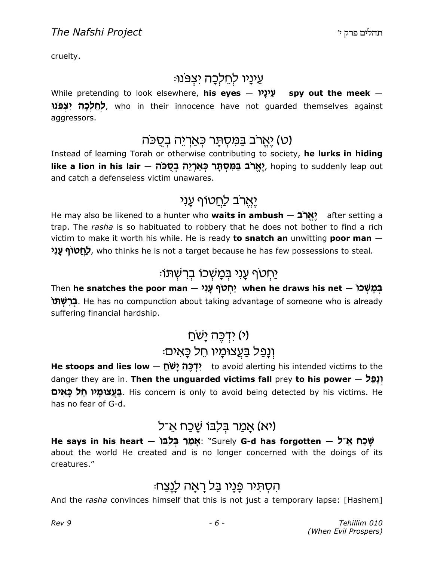cruelty.

# ּעֵינַיו לַחֲלִכַּה יצִפּנוּ

While pretending to look elsewhere, his eyes  $\mathcal{W}$  spy out the meek  $-$ לחלכה יצפנו. who in their innocence have not guarded themselves against aggressors.

#### (ט) יֵאֵרב בַּמִּסְתָּר כְּאַרְיֶה בְסֻכּה

Instead of learning Torah or otherwise contributing to society, he lurks in hiding **like a lion in his lair – אֲרֹב בַּמִּסְתָּר כְּאֲרֹיֵה בְסָכֹה**. hoping to suddenly leap out and catch a defenseless victim unawares.

# <u>יא</u>רב לחטוף עַני

He may also be likened to a hunter who waits in ambush - אֱהֹב after setting a trap. The rasha is so habituated to robbery that he does not bother to find a rich victim to make it worth his while. He is ready to snatch an unwitting poor man -לָחַטוֹף עַנִי, who thinks he is not a target because he has few possessions to steal.

### ַּיַחִטף עֶנִי בִּמָּשְׁכוּ בִרשִׁתּוּ:

Then he snatches the poor man ~ מְטֹף עֲנַי when he draws his net  $-$  בֿמַשְׁכוֹ בְרָשׁתּוֹ. He has no compunction about taking advantage of someone who is already suffering financial hardship.

# (י) יִדְכֵּה יַשׁחַ וִנָפַל בַּעֲצוּמָיו חֵל כָּאיִם:

He stoops and lies low  $-$  יָדְׁכָּה  $\cdot$  to avoid alerting his intended victims to the danger they are in. Then the unguarded victims fall prey to his power  $-$  )! **בַּעֲצוּמַיו חֵל כַּאִים.** His concern is only to avoid being detected by his victims. He has no fear of G-d.

# (יא) אָמַר בִּלְבּוֹ שַׁכַח אֵ־ל

He says in his heart – אֲמַר בִּלְבּוֹ about the world He created and is no longer concerned with the doings of its creatures."

#### ּהְסְתִּיר פְּנָיוּ בַּל רָאָה לָנֵצַח:

And the rasha convinces himself that this is not just a temporary lapse: [Hashem]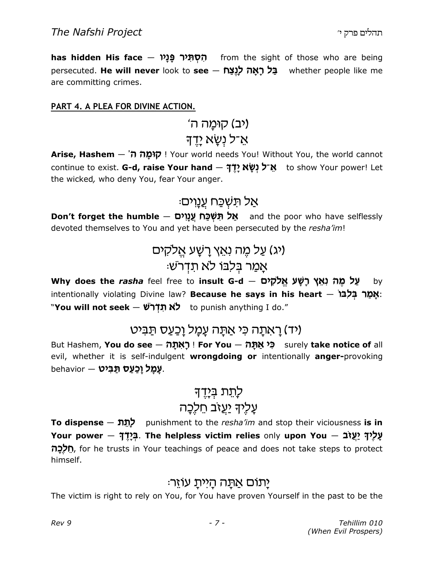has hidden His face — הָסְתְּיר בָּנַיוּ persecuted. He will never look to see – בל ראה לנצח whether people like me are committing crimes.

#### PART 4. A PLEA FOR DIVINE ACTION.

(יב) קוּמַה ה'

# אֵ־ל נִשֲא יַדֵד

Arise, Hashem – 'הַנְמַה ה' Your world needs You! Without You, the world cannot continue to exist. G-d, raise Your hand  $\frac{1}{2}$ ל נְשַׂא לַדָּךָ to show Your power! Let the wicked, who deny You, fear Your anger.

#### ּאַל תּשִׁכַּח עֵנַוים

Don't forget the humble – אֲל תְּשָׁמַח אֲלַמָּים and the poor who have selflessly devoted themselves to You and yet have been persecuted by the resha'im!

# (יג) עַל מֵה נְאֵץ רַשָּׁע אֱלִקִים ּאַמַר בְּלִבּוּ לֹא תִדְרֹשׁ

Why does the rasha feel free to insult G-d – שַׁל מֵה נְאֵץ רָשָׁע אֱלֹקָים intentionally violating Divine law? Because he says in his heart  $-$  אֲמַר בְּלָבּוֹ $\cdot$ "You will not seek – לֹא תָדְרשׁ to punish anything I do."

#### (יד) ראתה כי אתה עמל וכעס תביט

But Hashem, You do see — רְאָתָה ! For You — כְּי אֲתָּה surely take notice of all evil, whether it is self-indulgent wrongdoing or intentionally anger-provoking behavior – עֲמָל וַכַּעַס תַּבִּיט.

# לְתֵת בִּיָדֵך עַלִי<del>ן</del> יַעֵזב חֵלֶכַה

To dispense  $-$  לְתֵּת punishment to the resha'im and stop their viciousness is in Your power – בְּיۣדָ בְּיָה The helpless victim relies only upon You – עֲלֶיךָ יַעֲזֹב הֵלְכָה, for he trusts in Your teachings of peace and does not take steps to protect himself.

#### <u>י</u>תום אתה היית עוזר:

The victim is right to rely on You, for You have proven Yourself in the past to be the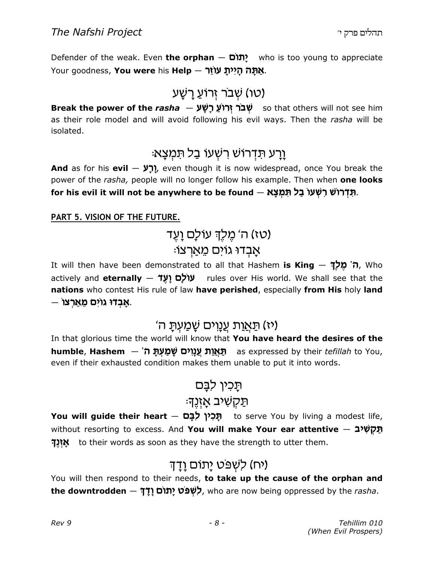Defender of the weak. Even **the orphan**  $-\pi$  who is too young to appreciate Your goodness, You were his Help — אֲתָּה הָיִיתָ עוֹזֵר.

### (טו) שָׁבר זְרוֹעַ רַשַּׁע

Break the power of the rasha  $-$  שְׁבֹר זְרוֹעַ רָשַׁע so that others will not see him as their role model and will avoid following his evil ways. Then the rasha will be isolated.

### ַוָרַע תִּדְרוֹשׁ רִשְׁעוֹ בַּל תִּמְצָא:

And as for his evil  $-$  (רַ $\mu$ ), even though it is now widespread, once You break the power of the rasha, people will no longer follow his example. Then when **one looks** for his evil it will not be anywhere to be found – תְּדְרוֹשׁ רְשְׁעוֹ בַל תְּמִצָּא .

#### PART 5. VISION OF THE FUTURE.

# (טז) ה' מֵלֶךְ עוֹלַם וַעֲד ּאֲבִדוּ גוים מֵאַרצוֹ

It will then have been demonstrated to all that Hashem is King  $-$  "מֹלֵךּ, Who actively and **eternally**  $-$  **עולם ועד** rules over His world. We shall see that the nations who contest His rule of law have perished, especially from His holy land  $-$  אַבְדוּ גויִם מֵאֲרָצוֹ

#### (יז) תַּ<u>אֲו</u>ת עֲנָוִים שָׁמַעִתָּ ה'

In that glorious time the world will know that You have heard the desires of the humble, Hashem  $-$  'תְּאֲוַת עֲנֵוִים שַׁמַעְתַּ ה $a$  s expressed by their tefillah to You, even if their exhausted condition makes them unable to put it into words.

# תַּכִין לִבָּם

#### ּתַקִשִׁיב אַזְנֵךָ

You will guide their heart – תַּכְין לְבָּם to serve You by living a modest life, without resorting to excess. And You will make Your ear attentive  $-$  תַּקְשׁׁיב **אונך** to their words as soon as they have the strength to utter them.

# (יח) לשִׁפּט יַתוֹם וַדַ<del>ּ</del>ד

You will then respond to their needs, to take up the cause of the orphan and the downtrodden – לְשָׁפּט יַתוֹם וָדָך, who are now being oppressed by the rasha.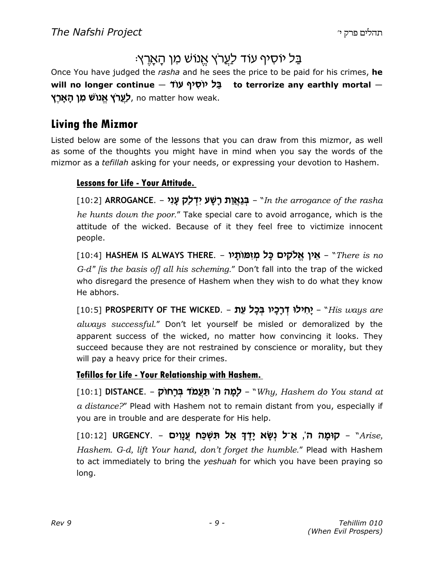# ַּבַּל יוֹסִיף עוֹד לַ<u>ע</u>ַרץ אֵנוֹשׁ מִן הָאָרֵץ

Once You have judged the rasha and he sees the price to be paid for his crimes, he will no longer continue – בַּל יוֹסִיף עוֹד to terrorize any earthly mortal – לַעֲרֹץ אֵנוֹשׁ מָן הַאַרֵץ, no matter how weak.

#### Living the Mizmor

Listed below are some of the lessons that you can draw from this mizmor, as well as some of the thoughts you might have in mind when you say the words of the mizmor as a *tefillah* asking for your needs, or expressing your devotion to Hashem.

#### Lessons for Life - Your Attitude.

[10:2] ARROGANCE. – בְּגֵאֲוֹת רַשֵׁע יִדְלַק עַנִי – "In the arrogance of the rasha he hunts down the poor." Take special care to avoid arrogance, which is the attitude of the wicked. Because of it they feel free to victimize innocent people.

 $[10:4]$  HASHEM IS ALWAYS THERE. – אֵין אֱלֹקִים כַּל מִזְמּוֹתֵיוֹ – "There is no G-d" lis the basis ofl all his scheming." Don't fall into the trap of the wicked who disregard the presence of Hashem when they wish to do what they know He abhors.

[10:5] PROSPERITY OF THE WICKED. – יְחִילוּ דְּרָכָיו בִּכָל עֵת – "His ways are always successful." Don't let yourself be misled or demoralized by the apparent success of the wicked, no matter how convincing it looks. They succeed because they are not restrained by conscience or morality, but they will pay a heavy price for their crimes.

#### Tefillos for Life - Your Relationship with Hashem.

 $[10:1]$  DISTANCE. – למה ה' תּעֲמֹד בּרַחוֹק – "Why, Hashem do You stand at a distance?" Plead with Hashem not to remain distant from you, especially if you are in trouble and are desperate for His help.

[10:12] URGENCY. – קוּמַה ה', אֱ־ל נְשֵׂא יַדֶּךָ אַל תִּשְׁכָּח שֵׁנַוְים - "Arise, Hashem. G-d, lift Your hand, don't forget the humble." Plead with Hashem to act immediately to bring the *yeshuah* for which you have been praying so long.